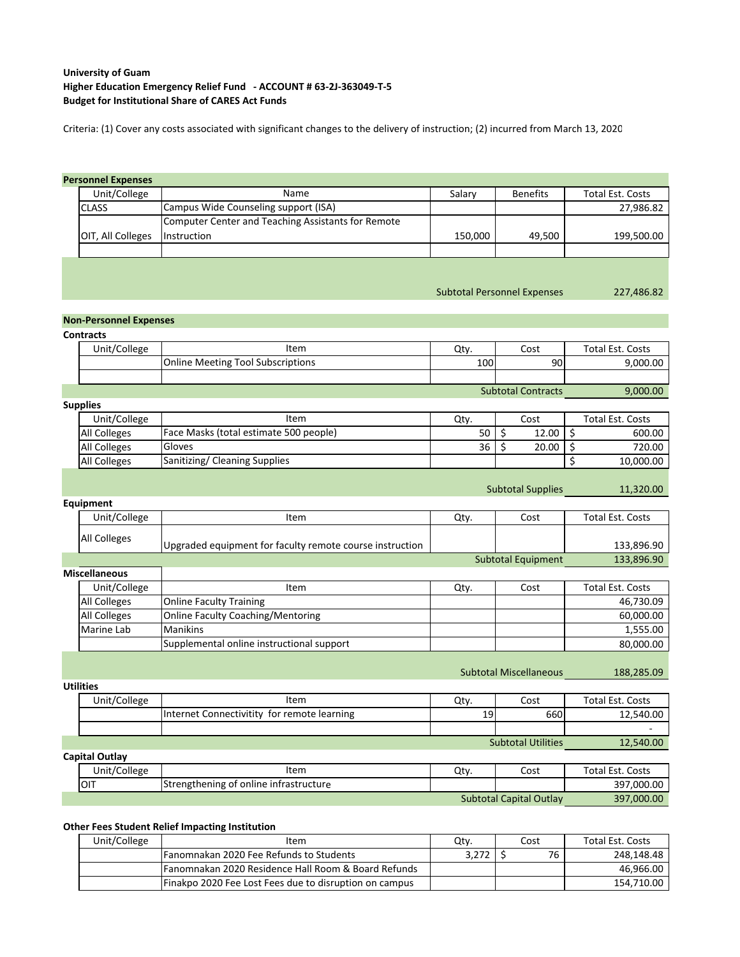## **University of Guam Budget for Institutional Share of CARES Act Funds Higher Education Emergency Relief Fund ‐ ACCOUNT # 63‐2J‐363049‐T‐5**

Criteria: (1) Cover any costs associated with significant changes to the delivery of instruction; (2) incurred from March 13, 2020

## **Personnel Expenses**

| Unit/College      | Name                                               | Salarv  | <b>Benefits</b> | Total Est. Costs |
|-------------------|----------------------------------------------------|---------|-----------------|------------------|
| <b>CLASS</b>      | Campus Wide Counseling support (ISA)               |         |                 | 27,986.82        |
|                   | Computer Center and Teaching Assistants for Remote |         |                 |                  |
| OIT, All Colleges | Instruction                                        | 150.000 | 49.500          | 199.500.00       |
|                   |                                                    |         |                 |                  |

### Subtotal Personnel Expenses 227,486.82

# **Non‐Personnel Expenses**

| <b>Contracts</b> |                                          |      |                           |                  |
|------------------|------------------------------------------|------|---------------------------|------------------|
| Unit/College     | Item                                     | Qtv. | Cost                      | Total Est. Costs |
|                  | <b>Online Meeting Tool Subscriptions</b> | 100  | 90                        | 9,000.00         |
|                  |                                          |      |                           |                  |
|                  |                                          |      | <b>Subtotal Contracts</b> | 9,000.00         |

#### **Supplies**

**Utilities**

| Unit/College        | Item                                   | Qtv. | Cost  | <b>Total Est. Costs</b> |
|---------------------|----------------------------------------|------|-------|-------------------------|
| <b>All Colleges</b> | Face Masks (total estimate 500 people) | 50   | 12.00 | 600.00                  |
| All Colleges        | Gloves                                 | 36   | 20.00 | 720.00                  |
| <b>All Colleges</b> | Sanitizing/ Cleaning Supplies          |      |       | 10.000.00               |

Subtotal Supplies 11,320.00

| Equipment            |                                                          |      |                           |                         |
|----------------------|----------------------------------------------------------|------|---------------------------|-------------------------|
| Unit/College         | Item                                                     | Qty. | Cost                      | Total Est. Costs        |
| <b>All Colleges</b>  | Upgraded equipment for faculty remote course instruction |      |                           | 133,896.90              |
|                      |                                                          |      | <b>Subtotal Equipment</b> | 133,896.90              |
| <b>Miscellaneous</b> |                                                          |      |                           |                         |
| Unit/College         | Item                                                     | Qty. | Cost                      | <b>Total Est. Costs</b> |
| <b>All Colleges</b>  | <b>Online Faculty Training</b>                           |      |                           | 46,730.09               |
| All Colleges         | <b>Online Faculty Coaching/Mentoring</b>                 |      |                           | 60,000.00               |
| Marine Lab           | <b>Manikins</b>                                          |      |                           | 1,555.00                |
|                      | Supplemental online instructional support                |      |                           | 80,000.00               |

Subtotal Miscellaneous 188,285.09

Subtotal Capital Outlay 397,000.00

| <b>UURUCS</b>  |                                             |                 |                           |                  |
|----------------|---------------------------------------------|-----------------|---------------------------|------------------|
| Unit/College   | Item                                        | Qty.            | Cost                      | Total Est. Costs |
|                | Internet Connectivitity for remote learning | 19 <sub>l</sub> | 660                       | 12,540.00        |
|                |                                             |                 |                           |                  |
|                |                                             |                 | <b>Subtotal Utilities</b> | 12,540.00        |
| Capital Outlay |                                             |                 |                           |                  |
| Unit/College   | Item                                        | Qty.            | Cost                      | Total Est. Costs |
| <b>OIT</b>     | Strengthening of online infrastructure      |                 |                           | 397,000.00       |

### **Other Fees Student Relief Impacting Institution**

| Unit/College | Item                                                            | Qtv.  | Cost | Total Est. Costs |
|--------------|-----------------------------------------------------------------|-------|------|------------------|
|              | Fanomnakan 2020 Fee Refunds to Students                         | 3.272 | 76   | 248.148.48       |
|              | <b>IFanomnakan 2020 Residence Hall Room &amp; Board Refunds</b> |       |      | 46.966.00 l      |
|              | Finakpo 2020 Fee Lost Fees due to disruption on campus          |       |      | 154,710.00 l     |